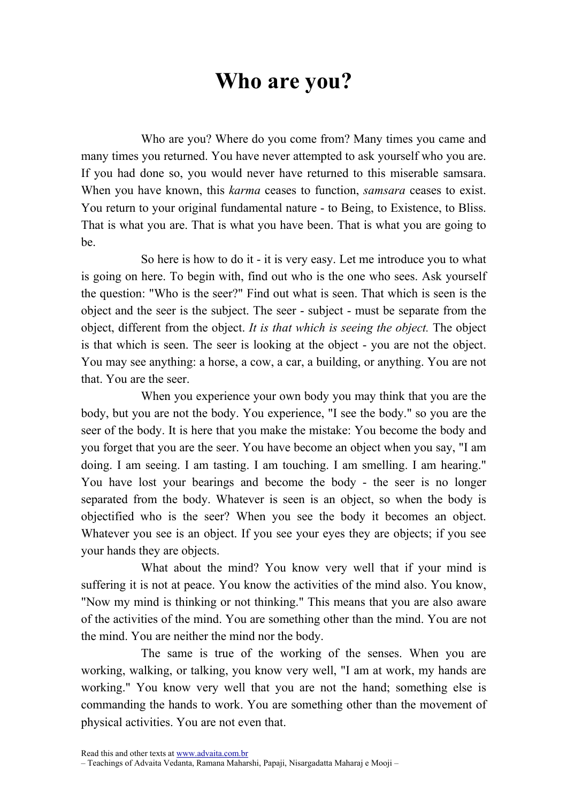## Who are you?

Who are you? Where do you come from? Many times you came and many times you returned. You have never attempted to ask yourself who you are. If you had done so, you would never have returned to this miserable samsara. When you have known, this *karma* ceases to function, *samsara* ceases to exist. You return to your original fundamental nature - to Being, to Existence, to Bliss. That is what you are. That is what you have been. That is what you are going to be.

So here is how to do it - it is very easy. Let me introduce you to what is going on here. To begin with, find out who is the one who sees. Ask yourself the question: "Who is the seer?" Find out what is seen. That which is seen is the object and the seer is the subject. The seer - subject - must be separate from the object, different from the object. It is that which is seeing the object. The object is that which is seen. The seer is looking at the object - you are not the object. You may see anything: a horse, a cow, a car, a building, or anything. You are not that. You are the seer.

When you experience your own body you may think that you are the body, but you are not the body. You experience, "I see the body." so you are the seer of the body. It is here that you make the mistake: You become the body and you forget that you are the seer. You have become an object when you say, "I am doing. I am seeing. I am tasting. I am touching. I am smelling. I am hearing." You have lost your bearings and become the body - the seer is no longer separated from the body. Whatever is seen is an object, so when the body is objectified who is the seer? When you see the body it becomes an object. Whatever you see is an object. If you see your eyes they are objects; if you see your hands they are objects.

What about the mind? You know very well that if your mind is suffering it is not at peace. You know the activities of the mind also. You know, "Now my mind is thinking or not thinking." This means that you are also aware of the activities of the mind. You are something other than the mind. You are not the mind. You are neither the mind nor the body.

The same is true of the working of the senses. When you are working, walking, or talking, you know very well, "I am at work, my hands are working." You know very well that you are not the hand; something else is commanding the hands to work. You are something other than the movement of physical activities. You are not even that.

Read this and other texts at www.advaita.com.br

<sup>–</sup> Teachings of Advaita Vedanta, Ramana Maharshi, Papaji, Nisargadatta Maharaj e Mooji –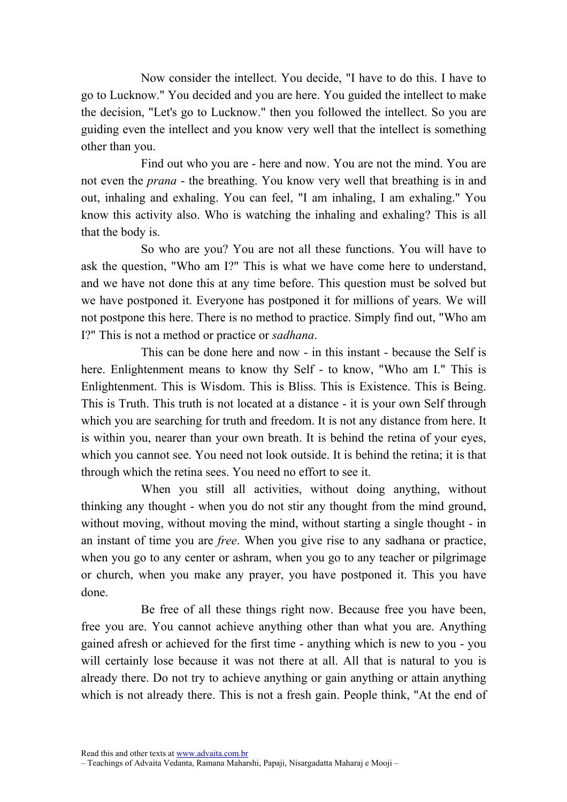Now consider the intellect. You decide, "I have to do this. I have to go to Lucknow." You decided and you are here. You guided the intellect to make the decision, "Let's go to Lucknow." then you followed the intellect. So you are guiding even the intellect and you know very well that the intellect is something other than you.

Find out who you are - here and now. You are not the mind. You are not even the *prana* - the breathing. You know very well that breathing is in and out, inhaling and exhaling. You can feel, "I am inhaling, I am exhaling." You know this activity also. Who is watching the inhaling and exhaling? This is all that the body is.

So who are you? You are not all these functions. You will have to ask the question, "Who am I?" This is what we have come here to understand, and we have not done this at any time before. This question must be solved but we have postponed it. Everyone has postponed it for millions of years. We will not postpone this here. There is no method to practice. Simply find out, "Who am I?" This is not a method or practice or sadhana.

This can be done here and now - in this instant - because the Self is here. Enlightenment means to know thy Self - to know, "Who am I." This is Enlightenment. This is Wisdom. This is Bliss. This is Existence. This is Being. This is Truth. This truth is not located at a distance - it is your own Self through which you are searching for truth and freedom. It is not any distance from here. It is within you, nearer than your own breath. It is behind the retina of your eyes, which you cannot see. You need not look outside. It is behind the retina; it is that through which the retina sees. You need no effort to see it.

When you still all activities, without doing anything, without thinking any thought - when you do not stir any thought from the mind ground, without moving, without moving the mind, without starting a single thought - in an instant of time you are free. When you give rise to any sadhana or practice, when you go to any center or ashram, when you go to any teacher or pilgrimage or church, when you make any prayer, you have postponed it. This you have done.

Be free of all these things right now. Because free you have been, free you are. You cannot achieve anything other than what you are. Anything gained afresh or achieved for the first time - anything which is new to you - you will certainly lose because it was not there at all. All that is natural to you is already there. Do not try to achieve anything or gain anything or attain anything which is not already there. This is not a fresh gain. People think, "At the end of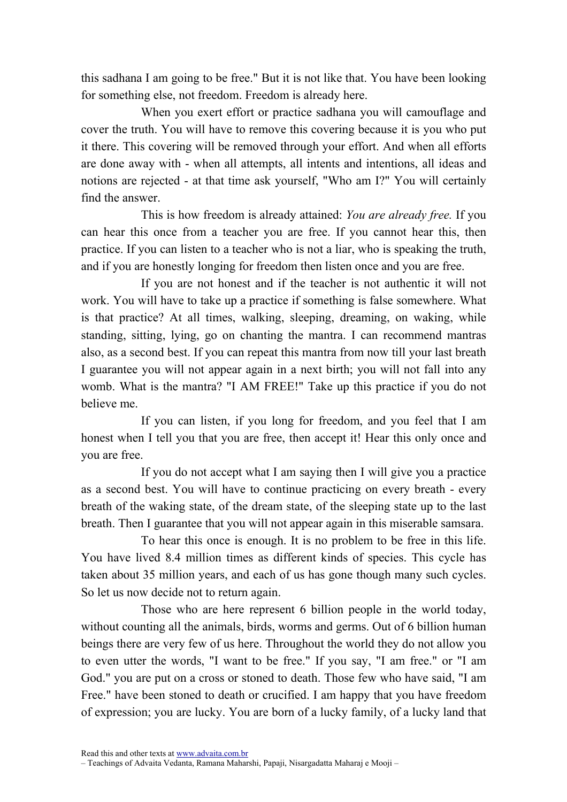this sadhana I am going to be free." But it is not like that. You have been looking for something else, not freedom. Freedom is already here.

When you exert effort or practice sadhana you will camouflage and cover the truth. You will have to remove this covering because it is you who put it there. This covering will be removed through your effort. And when all efforts are done away with - when all attempts, all intents and intentions, all ideas and notions are rejected - at that time ask yourself, "Who am I?" You will certainly find the answer.

This is how freedom is already attained: You are already free. If you can hear this once from a teacher you are free. If you cannot hear this, then practice. If you can listen to a teacher who is not a liar, who is speaking the truth, and if you are honestly longing for freedom then listen once and you are free.

If you are not honest and if the teacher is not authentic it will not work. You will have to take up a practice if something is false somewhere. What is that practice? At all times, walking, sleeping, dreaming, on waking, while standing, sitting, lying, go on chanting the mantra. I can recommend mantras also, as a second best. If you can repeat this mantra from now till your last breath I guarantee you will not appear again in a next birth; you will not fall into any womb. What is the mantra? "I AM FREE!" Take up this practice if you do not believe me.

If you can listen, if you long for freedom, and you feel that I am honest when I tell you that you are free, then accept it! Hear this only once and you are free.

If you do not accept what I am saying then I will give you a practice as a second best. You will have to continue practicing on every breath - every breath of the waking state, of the dream state, of the sleeping state up to the last breath. Then I guarantee that you will not appear again in this miserable samsara.

To hear this once is enough. It is no problem to be free in this life. You have lived 8.4 million times as different kinds of species. This cycle has taken about 35 million years, and each of us has gone though many such cycles. So let us now decide not to return again.

Those who are here represent 6 billion people in the world today, without counting all the animals, birds, worms and germs. Out of 6 billion human beings there are very few of us here. Throughout the world they do not allow you to even utter the words, "I want to be free." If you say, "I am free." or "I am God." you are put on a cross or stoned to death. Those few who have said, "I am Free." have been stoned to death or crucified. I am happy that you have freedom of expression; you are lucky. You are born of a lucky family, of a lucky land that